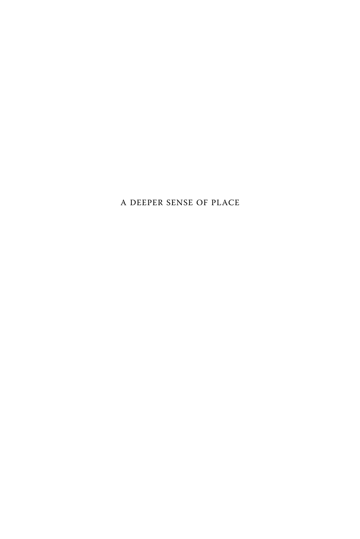A DEEPER SENSE OF PLACE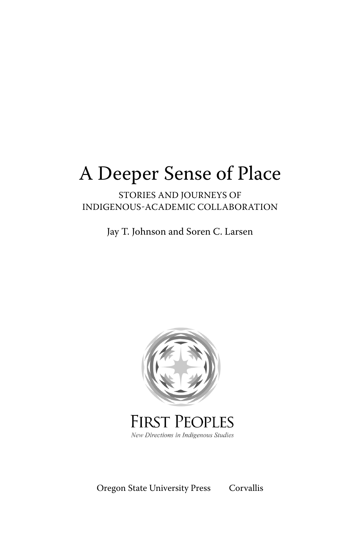# A Deeper Sense of Place

### STORIES AND JOURNEYS OF INDIGENOUS-ACADEMIC COLLABORATION

Jay T. Johnson and Soren C. Larsen



## **FIRST PEOPLES** New Directions in Indigenous Studies

Oregon State University Press Corvallis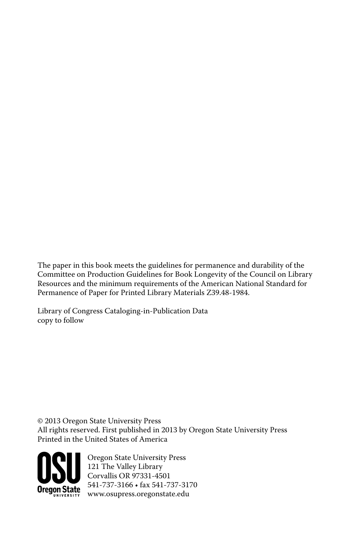The paper in this book meets the guidelines for permanence and durability of the Committee on Production Guidelines for Book Longevity of the Council on Library Resources and the minimum requirements of the American National Standard for Permanence of Paper for Printed Library Materials Z39.48-1984.

Library of Congress Cataloging-in-Publication Data copy to follow

© 2013 Oregon State University Press All rights reserved. First published in 2013 by Oregon State University Press Printed in the United States of America



Oregon State University Press 121 The Valley Library Corvallis OR 97331-4501  $541 - 737 - 3166$  • fax  $541 - 737 - 3170$ www.osupress.oregonstate.edu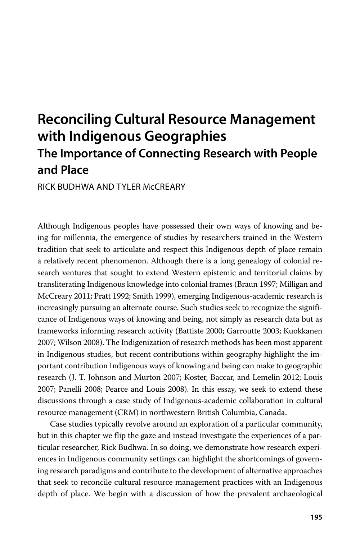# **Reconciling Cultural Resource Management with Indigenous Geographies The Importance of Connecting Research with People and Place**

RICK BUDHWA AND TYLER McCREARY

Although Indigenous peoples have possessed their own ways of knowing and being for millennia, the emergence of studies by researchers trained in the Western tradition that seek to articulate and respect this Indigenous depth of place remain a relatively recent phenomenon. Although there is a long genealogy of colonial research ventures that sought to extend Western epistemic and territorial claims by transliterating Indigenous knowledge into colonial frames (Braun 1997; Milligan and McCreary 2011; Pratt 1992; Smith 1999), emerging Indigenous-academic research is increasingly pursuing an alternate course. Such studies seek to recognize the significance of Indigenous ways of knowing and being, not simply as research data but as frameworks informing research activity (Battiste 2000; Garroutte 2003; Kuokkanen 2007; Wilson 2008). The Indigenization of research methods has been most apparent in Indigenous studies, but recent contributions within geography highlight the important contribution Indigenous ways of knowing and being can make to geographic research (J. T. Johnson and Murton 2007; Koster, Baccar, and Lemelin 2012; Louis 2007; Panelli 2008; Pearce and Louis 2008). In this essay, we seek to extend these discussions through a case study of Indigenous-academic collaboration in cultural resource management (CRM) in northwestern British Columbia, Canada.

Case studies typically revolve around an exploration of a particular community, but in this chapter we flip the gaze and instead investigate the experiences of a particular researcher, Rick Budhwa. In so doing, we demonstrate how research experiences in Indigenous community settings can highlight the shortcomings of governing research paradigms and contribute to the development of alternative approaches that seek to reconcile cultural resource management practices with an Indigenous depth of place. We begin with a discussion of how the prevalent archaeological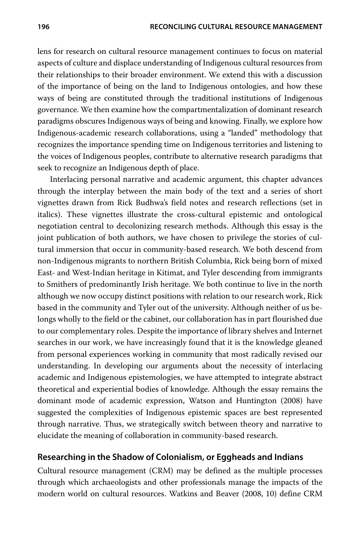lens for research on cultural resource management continues to focus on material aspects of culture and displace understanding of Indigenous cultural resources from their relationships to their broader environment. We extend this with a discussion of the importance of being on the land to Indigenous ontologies, and how these ways of being are constituted through the traditional institutions of Indigenous governance. We then examine how the compartmentalization of dominant research paradigms obscures Indigenous ways of being and knowing. Finally, we explore how Indigenous-academic research collaborations, using a "landed" methodology that recognizes the importance spending time on Indigenous territories and listening to the voices of Indigenous peoples, contribute to alternative research paradigms that seek to recognize an Indigenous depth of place.

Interlacing personal narrative and academic argument, this chapter advances through the interplay between the main body of the text and a series of short vignettes drawn from Rick Budhwa's field notes and research reflections (set in italics). These vignettes illustrate the cross-cultural epistemic and ontological negotiation central to decolonizing research methods. Although this essay is the joint publication of both authors, we have chosen to privilege the stories of cultural immersion that occur in community-based research. We both descend from non-Indigenous migrants to northern British Columbia, Rick being born of mixed East- and West-Indian heritage in Kitimat, and Tyler descending from immigrants to Smithers of predominantly Irish heritage. We both continue to live in the north although we now occupy distinct positions with relation to our research work, Rick based in the community and Tyler out of the university. Although neither of us belongs wholly to the field or the cabinet, our collaboration has in part flourished due to our complementary roles. Despite the importance of library shelves and Internet searches in our work, we have increasingly found that it is the knowledge gleaned from personal experiences working in community that most radically revised our understanding. In developing our arguments about the necessity of interlacing academic and Indigenous epistemologies, we have attempted to integrate abstract theoretical and experiential bodies of knowledge. Although the essay remains the dominant mode of academic expression, Watson and Huntington (2008) have suggested the complexities of Indigenous epistemic spaces are best represented through narrative. Thus, we strategically switch between theory and narrative to elucidate the meaning of collaboration in community-based research.

#### **Researching in the Shadow of Colonialism, or Eggheads and Indians**

Cultural resource management (CRM) may be defined as the multiple processes through which archaeologists and other professionals manage the impacts of the modern world on cultural resources. Watkins and Beaver (2008, 10) define CRM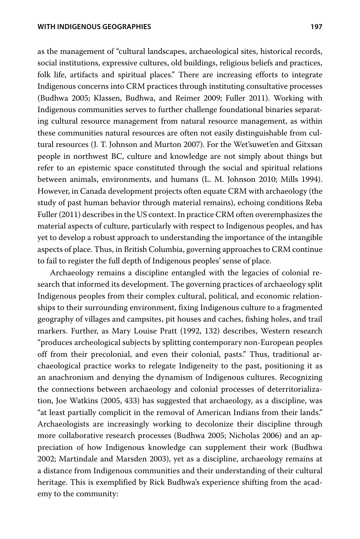as the management of "cultural landscapes, archaeological sites, historical records, social institutions, expressive cultures, old buildings, religious beliefs and practices, folk life, artifacts and spiritual places." There are increasing efforts to integrate Indigenous concerns into CRM practices through instituting consultative processes (Budhwa 2005; Klassen, Budhwa, and Reimer 2009; Fuller 2011). Working with Indigenous communities serves to further challenge foundational binaries separating cultural resource management from natural resource management, as within these communities natural resources are often not easily distinguishable from cultural resources (J. T. Johnson and Murton 2007). For the Wet'suwet'en and Gitxsan people in northwest BC, culture and knowledge are not simply about things but refer to an epistemic space constituted through the social and spiritual relations between animals, environments, and humans (L. M. Johnson 2010; Mills 1994). However, in Canada development projects often equate CRM with archaeology (the study of past human behavior through material remains), echoing conditions Reba Fuller (2011) describes in the US context. In practice CRM often overemphasizes the material aspects of culture, particularly with respect to Indigenous peoples, and has yet to develop a robust approach to understanding the importance of the intangible aspects of place. Thus, in British Columbia, governing approaches to CRM continue to fail to register the full depth of Indigenous peoples' sense of place.

Archaeology remains a discipline entangled with the legacies of colonial research that informed its development. The governing practices of archaeology split Indigenous peoples from their complex cultural, political, and economic relationships to their surrounding environment, fixing Indigenous culture to a fragmented geography of villages and campsites, pit houses and caches, fishing holes, and trail markers. Further, as Mary Louise Pratt (1992, 132) describes, Western research "produces archeological subjects by splitting contemporary non-European peoples off from their precolonial, and even their colonial, pasts." Thus, traditional archaeological practice works to relegate Indigeneity to the past, positioning it as an anachronism and denying the dynamism of Indigenous cultures. Recognizing the connections between archaeology and colonial processes of deterritorialization, Joe Watkins (2005, 433) has suggested that archaeology, as a discipline, was "at least partially complicit in the removal of American Indians from their lands." Archaeologists are increasingly working to decolonize their discipline through more collaborative research processes (Budhwa 2005; Nicholas 2006) and an appreciation of how Indigenous knowledge can supplement their work (Budhwa 2002; Martindale and Marsden 2003), yet as a discipline, archaeology remains at a distance from Indigenous communities and their understanding of their cultural heritage. This is exemplified by Rick Budhwa's experience shifting from the academy to the community: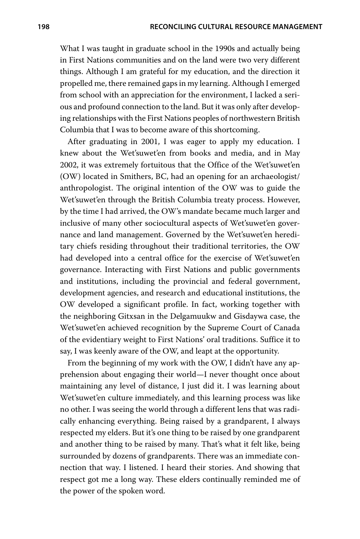What I was taught in graduate school in the 1990s and actually being in First Nations communities and on the land were two very different things. Although I am grateful for my education, and the direction it propelled me, there remained gaps in my learning. Although I emerged from school with an appreciation for the environment, I lacked a serious and profound connection to the land. But it was only after developing relationships with the First Nations peoples of northwestern British Columbia that I was to become aware of this shortcoming.

After graduating in 2001, I was eager to apply my education. I knew about the Wet'suwet'en from books and media, and in May 2002, it was extremely fortuitous that the Office of the Wet'suwet'en (OW) located in Smithers, BC, had an opening for an archaeologist/ anthropologist. The original intention of the OW was to guide the Wet'suwet'en through the British Columbia treaty process. However, by the time I had arrived, the OW's mandate became much larger and inclusive of many other sociocultural aspects of Wet'suwet'en governance and land management. Governed by the Wet'suwet'en hereditary chiefs residing throughout their traditional territories, the OW had developed into a central office for the exercise of Wet'suwet'en governance. Interacting with First Nations and public governments and institutions, including the provincial and federal government, development agencies, and research and educational institutions, the OW developed a significant profile. In fact, working together with the neighboring Gitxsan in the Delgamuukw and Gisdaywa case, the Wet'suwet'en achieved recognition by the Supreme Court of Canada of the evidentiary weight to First Nations' oral traditions. Suffice it to say, I was keenly aware of the OW, and leapt at the opportunity.

From the beginning of my work with the OW, I didn't have any apprehension about engaging their world—I never thought once about maintaining any level of distance, I just did it. I was learning about Wet'suwet'en culture immediately, and this learning process was like no other. I was seeing the world through a different lens that was radically enhancing everything. Being raised by a grandparent, I always respected my elders. But it's one thing to be raised by one grandparent and another thing to be raised by many. That's what it felt like, being surrounded by dozens of grandparents. There was an immediate connection that way. I listened. I heard their stories. And showing that respect got me a long way. These elders continually reminded me of the power of the spoken word.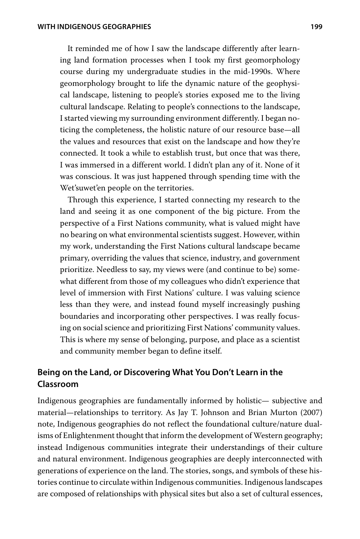It reminded me of how I saw the landscape differently after learning land formation processes when I took my first geomorphology course during my undergraduate studies in the mid-1990s. Where geomorphology brought to life the dynamic nature of the geophysical landscape, listening to people's stories exposed me to the living cultural landscape. Relating to people's connections to the landscape, I started viewing my surrounding environment differently. I began noticing the completeness, the holistic nature of our resource base—all the values and resources that exist on the landscape and how they're connected. It took a while to establish trust, but once that was there, I was immersed in a different world. I didn't plan any of it. None of it was conscious. It was just happened through spending time with the Wet'suwet'en people on the territories.

Through this experience, I started connecting my research to the land and seeing it as one component of the big picture. From the perspective of a First Nations community, what is valued might have no bearing on what environmental scientists suggest. However, within my work, understanding the First Nations cultural landscape became primary, overriding the values that science, industry, and government prioritize. Needless to say, my views were (and continue to be) somewhat different from those of my colleagues who didn't experience that level of immersion with First Nations' culture. I was valuing science less than they were, and instead found myself increasingly pushing boundaries and incorporating other perspectives. I was really focusing on social science and prioritizing First Nations' community values. This is where my sense of belonging, purpose, and place as a scientist and community member began to define itself.

#### **Being on the Land, or Discovering What You Don't Learn in the Classroom**

Indigenous geographies are fundamentally informed by holistic— subjective and material—relationships to territory. As Jay T. Johnson and Brian Murton (2007) note, Indigenous geographies do not reflect the foundational culture/nature dualisms of Enlightenment thought that inform the development of Western geography; instead Indigenous communities integrate their understandings of their culture and natural environment. Indigenous geographies are deeply interconnected with generations of experience on the land. The stories, songs, and symbols of these histories continue to circulate within Indigenous communities. Indigenous landscapes are composed of relationships with physical sites but also a set of cultural essences,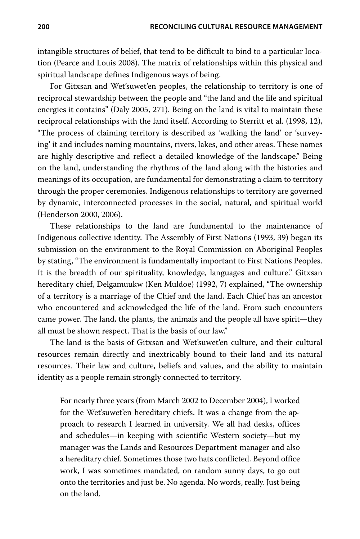intangible structures of belief, that tend to be difficult to bind to a particular location (Pearce and Louis 2008). The matrix of relationships within this physical and spiritual landscape defines Indigenous ways of being.

For Gitxsan and Wet'suwet'en peoples, the relationship to territory is one of reciprocal stewardship between the people and "the land and the life and spiritual energies it contains" (Daly 2005, 271). Being on the land is vital to maintain these reciprocal relationships with the land itself. According to Sterritt et al. (1998, 12), "The process of claiming territory is described as 'walking the land' or 'surveying' it and includes naming mountains, rivers, lakes, and other areas. These names are highly descriptive and reflect a detailed knowledge of the landscape." Being on the land, understanding the rhythms of the land along with the histories and meanings of its occupation, are fundamental for demonstrating a claim to territory through the proper ceremonies. Indigenous relationships to territory are governed by dynamic, interconnected processes in the social, natural, and spiritual world (Henderson 2000, 2006).

These relationships to the land are fundamental to the maintenance of Indigenous collective identity. The Assembly of First Nations (1993, 39) began its submission on the environment to the Royal Commission on Aboriginal Peoples by stating, "The environment is fundamentally important to First Nations Peoples. It is the breadth of our spirituality, knowledge, languages and culture." Gitxsan hereditary chief, Delgamuukw (Ken Muldoe) (1992, 7) explained, "The ownership of a territory is a marriage of the Chief and the land. Each Chief has an ancestor who encountered and acknowledged the life of the land. From such encounters came power. The land, the plants, the animals and the people all have spirit—they all must be shown respect. That is the basis of our law."

The land is the basis of Gitxsan and Wet'suwet'en culture, and their cultural resources remain directly and inextricably bound to their land and its natural resources. Their law and culture, beliefs and values, and the ability to maintain identity as a people remain strongly connected to territory.

For nearly three years (from March 2002 to December 2004), I worked for the Wet'suwet'en hereditary chiefs. It was a change from the approach to research I learned in university. We all had desks, offices and schedules—in keeping with scientific Western society—but my manager was the Lands and Resources Department manager and also a hereditary chief. Sometimes those two hats conflicted. Beyond office work, I was sometimes mandated, on random sunny days, to go out onto the territories and just be. No agenda. No words, really. Just being on the land.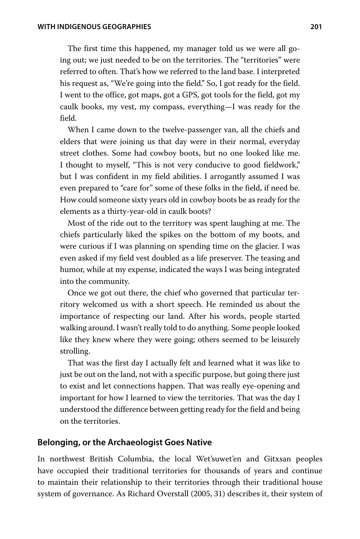The first time this happened, my manager told us we were all going out; we just needed to be on the territories. The "territories" were referred to often. That's how we referred to the land base. I interpreted his request as, "We're going into the field." So, I got ready for the field. I went to the office, got maps, got a GPS, got tools for the field, got my caulk books, my vest, my compass, everything-I was ready for the field.

When I came down to the twelve-passenger van, all the chiefs and elders that were joining us that day were in their normal, everyday street clothes. Some had cowboy boots, but no one looked like me. I thought to myself, "This is not very conducive to good fieldwork," but I was confident in my field abilities. I arrogantly assumed I was even prepared to "care for" some of these folks in the field, if need be. How could someone sixty years old in cowboy boots be as ready for the elements as a thirty-year-old in caulk boots?

Most of the ride out to the territory was spent laughing at me. The chiefs particularly liked the spikes on the bottom of my boots, and were curious if I was planning on spending time on the glacier. I was even asked if my field vest doubled as a life preserver. The teasing and humor, while at my expense, indicated the ways I was being integrated into the community.

Once we got out there, the chief who governed that particular territory welcomed us with a short speech. He reminded us about the importance of respecting our land. After his words, people started walking around. I wasn't really told to do anything. Some people looked like they knew where they were going; others seemed to be leisurely strolling.

That was the first day I actually felt and learned what it was like to just be out on the land, not with a specific purpose, but going there just to exist and let connections happen. That was really eye-opening and important for how I learned to view the territories. That was the day I understood the difference between getting ready for the field and being on the territories.

#### **Belonging, or the Archaeologist Goes Native**

In northwest British Columbia, the local Wet'suwet'en and Gitxsan peoples have occupied their traditional territories for thousands of years and continue to maintain their relationship to their territories through their traditional house system of governance. As Richard Overstall (2005, 31) describes it, their system of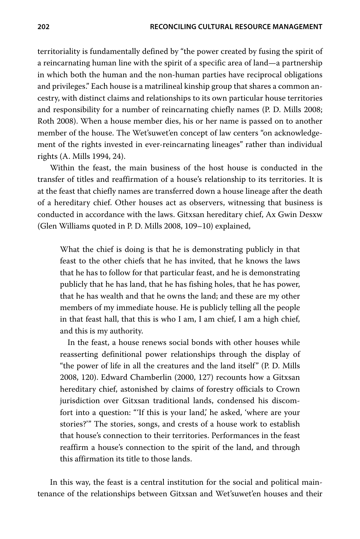territoriality is fundamentally defined by "the power created by fusing the spirit of a reincarnating human line with the spirit of a specific area of land—a partnership in which both the human and the non-human parties have reciprocal obligations and privileges." Each house is a matrilineal kinship group that shares a common ancestry, with distinct claims and relationships to its own particular house territories and responsibility for a number of reincarnating chiefly names (P. D. Mills 2008; Roth 2008). When a house member dies, his or her name is passed on to another member of the house. The Wet'suwet'en concept of law centers "on acknowledgement of the rights invested in ever-reincarnating lineages" rather than individual rights (A. Mills 1994, 24).

Within the feast, the main business of the host house is conducted in the transfer of titles and reaffirmation of a house's relationship to its territories. It is at the feast that chiefly names are transferred down a house lineage after the death of a hereditary chief. Other houses act as observers, witnessing that business is conducted in accordance with the laws. Gitxsan hereditary chief, Ax Gwin Desxw (Glen Williams quoted in P. D. Mills 2008, 109–10) explained,

What the chief is doing is that he is demonstrating publicly in that feast to the other chiefs that he has invited, that he knows the laws that he has to follow for that particular feast, and he is demonstrating publicly that he has land, that he has fishing holes, that he has power, that he has wealth and that he owns the land; and these are my other members of my immediate house. He is publicly telling all the people in that feast hall, that this is who I am, I am chief, I am a high chief, and this is my authority.

In the feast, a house renews social bonds with other houses while reasserting definitional power relationships through the display of "the power of life in all the creatures and the land itself" (P. D. Mills 2008, 120). Edward Chamberlin (2000, 127) recounts how a Gitxsan hereditary chief, astonished by claims of forestry officials to Crown jurisdiction over Gitxsan traditional lands, condensed his discomfort into a question: "If this is your land,' he asked, 'where are your stories?" The stories, songs, and crests of a house work to establish that house's connection to their territories. Performances in the feast reaffirm a house's connection to the spirit of the land, and through this affirmation its title to those lands.

In this way, the feast is a central institution for the social and political maintenance of the relationships between Gitxsan and Wet'suwet'en houses and their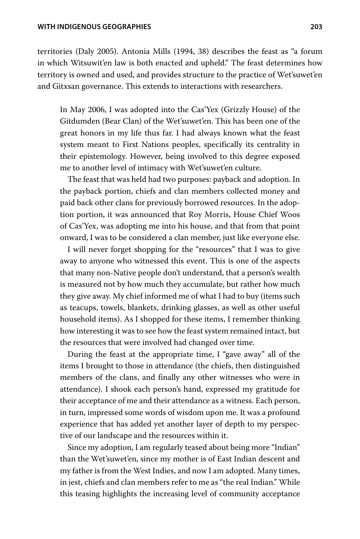territories (Daly 2005). Antonia Mills (1994, 38) describes the feast as "a forum in which Witsuwit'en law is both enacted and upheld." The feast determines how territory is owned and used, and provides structure to the practice of Wet'suwet'en and Gitxsan governance. This extends to interactions with researchers.

In May 2006, I was adopted into the Cas'Yex (Grizzly House) of the Gitdumden (Bear Clan) of the Wet'suwet'en. This has been one of the great honors in my life thus far. I had always known what the feast system meant to First Nations peoples, specifically its centrality in their epistemology. However, being involved to this degree exposed me to another level of intimacy with Wet'suwet'en culture.

The feast that was held had two purposes: payback and adoption. In the payback portion, chiefs and clan members collected money and paid back other clans for previously borrowed resources. In the adoption portion, it was announced that Roy Morris, House Chief Woos of Cas'Yex, was adopting me into his house, and that from that point onward, I was to be considered a clan member, just like everyone else.

I will never forget shopping for the "resources" that I was to give away to anyone who witnessed this event. This is one of the aspects that many non-Native people don't understand, that a person's wealth is measured not by how much they accumulate, but rather how much they give away. My chief informed me of what I had to buy (items such as teacups, towels, blankets, drinking glasses, as well as other useful household items). As I shopped for these items, I remember thinking how interesting it was to see how the feast system remained intact, but the resources that were involved had changed over time.

During the feast at the appropriate time, I "gave away" all of the items I brought to those in attendance (the chiefs, then distinguished members of the clans, and finally any other witnesses who were in attendance). I shook each person's hand, expressed my gratitude for their acceptance of me and their attendance as a witness. Each person, in turn, impressed some words of wisdom upon me. It was a profound experience that has added yet another layer of depth to my perspective of our landscape and the resources within it.

Since my adoption, I am regularly teased about being more "Indian" than the Wet'suwet'en, since my mother is of East Indian descent and my father is from the West Indies, and now I am adopted. Many times, in jest, chiefs and clan members refer to me as "the real Indian." While this teasing highlights the increasing level of community acceptance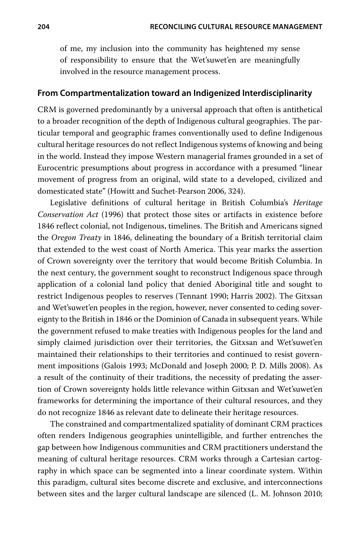of me, my inclusion into the community has heightened my sense of responsibility to ensure that the Wet'suwet'en are meaningfully involved in the resource management process.

#### **From Compartmentalization toward an Indigenized Interdisciplinarity**

CRM is governed predominantly by a universal approach that often is antithetical to a broader recognition of the depth of Indigenous cultural geographies. The particular temporal and geographic frames conventionally used to define Indigenous cultural heritage resources do not reflect Indigenous systems of knowing and being in the world. Instead they impose Western managerial frames grounded in a set of Eurocentric presumptions about progress in accordance with a presumed "linear movement of progress from an original, wild state to a developed, civilized and domesticated state" (Howitt and Suchet-Pearson 2006, 324).

Legislative definitions of cultural heritage in British Columbia's *Heritage Conservation Act* (1996) that protect those sites or artifacts in existence before 1846 reflect colonial, not Indigenous, timelines. The British and Americans signed the *Oregon Treaty* in 1846, delineating the boundary of a British territorial claim that extended to the west coast of North America. This year marks the assertion of Crown sovereignty over the territory that would become British Columbia. In the next century, the government sought to reconstruct Indigenous space through application of a colonial land policy that denied Aboriginal title and sought to restrict Indigenous peoples to reserves (Tennant 1990; Harris 2002). The Gitxsan and Wet'suwet'en peoples in the region, however, never consented to ceding sovereignty to the British in 1846 or the Dominion of Canada in subsequent years. While the government refused to make treaties with Indigenous peoples for the land and simply claimed jurisdiction over their territories, the Gitxsan and Wet'suwet'en maintained their relationships to their territories and continued to resist government impositions (Galois 1993; McDonald and Joseph 2000; P. D. Mills 2008). As a result of the continuity of their traditions, the necessity of predating the assertion of Crown sovereignty holds little relevance within Gitxsan and Wet'suwet'en frameworks for determining the importance of their cultural resources, and they do not recognize 1846 as relevant date to delineate their heritage resources.

The constrained and compartmentalized spatiality of dominant CRM practices often renders Indigenous geographies unintelligible, and further entrenches the gap between how Indigenous communities and CRM practitioners understand the meaning of cultural heritage resources. CRM works through a Cartesian cartography in which space can be segmented into a linear coordinate system. Within this paradigm, cultural sites become discrete and exclusive, and interconnections between sites and the larger cultural landscape are silenced (L. M. Johnson 2010;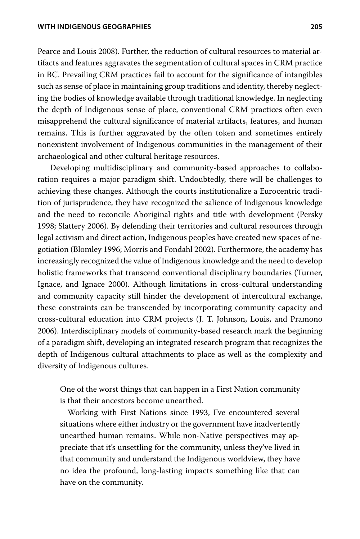Pearce and Louis 2008). Further, the reduction of cultural resources to material artifacts and features aggravates the segmentation of cultural spaces in CRM practice in BC. Prevailing CRM practices fail to account for the significance of intangibles such as sense of place in maintaining group traditions and identity, thereby neglecting the bodies of knowledge available through traditional knowledge. In neglecting the depth of Indigenous sense of place, conventional CRM practices often even misapprehend the cultural significance of material artifacts, features, and human remains. This is further aggravated by the often token and sometimes entirely nonexistent involvement of Indigenous communities in the management of their archaeological and other cultural heritage resources.

Developing multidisciplinary and community-based approaches to collaboration requires a major paradigm shift. Undoubtedly, there will be challenges to achieving these changes. Although the courts institutionalize a Eurocentric tradition of jurisprudence, they have recognized the salience of Indigenous knowledge and the need to reconcile Aboriginal rights and title with development (Persky 1998; Slattery 2006). By defending their territories and cultural resources through legal activism and direct action, Indigenous peoples have created new spaces of negotiation (Blomley 1996; Morris and Fondahl 2002). Furthermore, the academy has increasingly recognized the value of Indigenous knowledge and the need to develop holistic frameworks that transcend conventional disciplinary boundaries (Turner, Ignace, and Ignace 2000). Although limitations in cross-cultural understanding and community capacity still hinder the development of intercultural exchange, these constraints can be transcended by incorporating community capacity and cross-cultural education into CRM projects (J. T. Johnson, Louis, and Pramono 2006). Interdisciplinary models of community-based research mark the beginning of a paradigm shift, developing an integrated research program that recognizes the depth of Indigenous cultural attachments to place as well as the complexity and diversity of Indigenous cultures.

One of the worst things that can happen in a First Nation community is that their ancestors become unearthed.

Working with First Nations since 1993, I've encountered several situations where either industry or the government have inadvertently unearthed human remains. While non-Native perspectives may appreciate that it's unsettling for the community, unless they've lived in that community and understand the Indigenous worldview, they have no idea the profound, long-lasting impacts something like that can have on the community.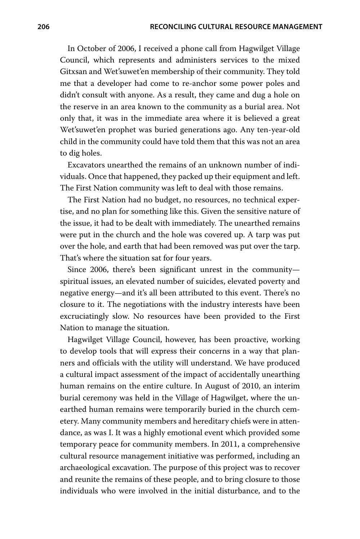In October of 2006, I received a phone call from Hagwilget Village Council, which represents and administers services to the mixed Gitxsan and Wet'suwet'en membership of their community. They told me that a developer had come to re-anchor some power poles and didn't consult with anyone. As a result, they came and dug a hole on the reserve in an area known to the community as a burial area. Not only that, it was in the immediate area where it is believed a great Wet'suwet'en prophet was buried generations ago. Any ten-year-old child in the community could have told them that this was not an area to dig holes.

Excavators unearthed the remains of an unknown number of individuals. Once that happened, they packed up their equipment and left. The First Nation community was left to deal with those remains.

The First Nation had no budget, no resources, no technical expertise, and no plan for something like this. Given the sensitive nature of the issue, it had to be dealt with immediately. The unearthed remains were put in the church and the hole was covered up. A tarp was put over the hole, and earth that had been removed was put over the tarp. That's where the situation sat for four years.

Since 2006, there's been significant unrest in the communityspiritual issues, an elevated number of suicides, elevated poverty and negative energy—and it's all been attributed to this event. There's no closure to it. The negotiations with the industry interests have been excruciatingly slow. No resources have been provided to the First Nation to manage the situation.

Hagwilget Village Council, however, has been proactive, working to develop tools that will express their concerns in a way that planners and officials with the utility will understand. We have produced a cultural impact assessment of the impact of accidentally unearthing human remains on the entire culture. In August of 2010, an interim burial ceremony was held in the Village of Hagwilget, where the unearthed human remains were temporarily buried in the church cemetery. Many community members and hereditary chiefs were in attendance, as was I. It was a highly emotional event which provided some temporary peace for community members. In 2011, a comprehensive cultural resource management initiative was performed, including an archaeological excavation. The purpose of this project was to recover and reunite the remains of these people, and to bring closure to those individuals who were involved in the initial disturbance, and to the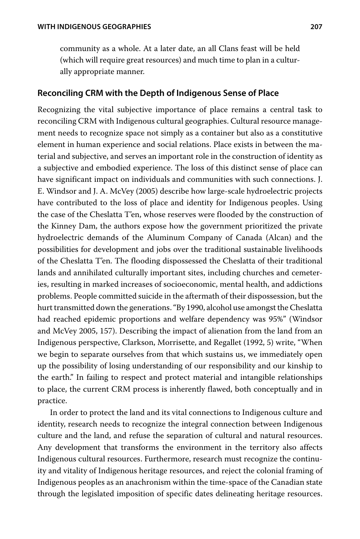community as a whole. At a later date, an all Clans feast will be held (which will require great resources) and much time to plan in a culturally appropriate manner.

#### **Reconciling CRM with the Depth of Indigenous Sense of Place**

Recognizing the vital subjective importance of place remains a central task to reconciling CRM with Indigenous cultural geographies. Cultural resource management needs to recognize space not simply as a container but also as a constitutive element in human experience and social relations. Place exists in between the material and subjective, and serves an important role in the construction of identity as a subjective and embodied experience. The loss of this distinct sense of place can have significant impact on individuals and communities with such connections. J. E. Windsor and J. A. McVey (2005) describe how large-scale hydroelectric projects have contributed to the loss of place and identity for Indigenous peoples. Using the case of the Cheslatta T'en, whose reserves were flooded by the construction of the Kinney Dam, the authors expose how the government prioritized the private hydroelectric demands of the Aluminum Company of Canada (Alcan) and the possibilities for development and jobs over the traditional sustainable livelihoods of the Cheslatta T'en. The flooding dispossessed the Cheslatta of their traditional lands and annihilated culturally important sites, including churches and cemeteries, resulting in marked increases of socioeconomic, mental health, and addictions problems. People committed suicide in the aftermath of their dispossession, but the hurt transmitted down the generations. "By 1990, alcohol use amongst the Cheslatta had reached epidemic proportions and welfare dependency was 95%" (Windsor and McVey 2005, 157). Describing the impact of alienation from the land from an Indigenous perspective, Clarkson, Morrisette, and Regallet (1992, 5) write, "When we begin to separate ourselves from that which sustains us, we immediately open up the possibility of losing understanding of our responsibility and our kinship to the earth." In failing to respect and protect material and intangible relationships to place, the current CRM process is inherently flawed, both conceptually and in practice.

In order to protect the land and its vital connections to Indigenous culture and identity, research needs to recognize the integral connection between Indigenous culture and the land, and refuse the separation of cultural and natural resources. Any development that transforms the environment in the territory also affects Indigenous cultural resources. Furthermore, research must recognize the continuity and vitality of Indigenous heritage resources, and reject the colonial framing of Indigenous peoples as an anachronism within the time-space of the Canadian state through the legislated imposition of specific dates delineating heritage resources.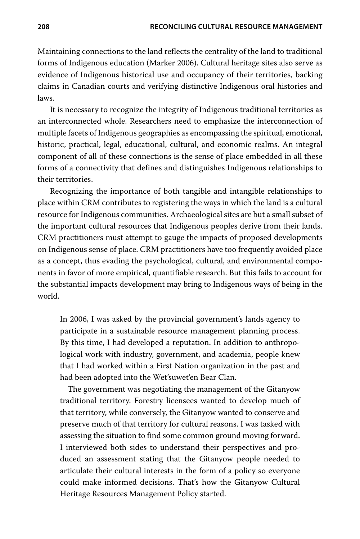Maintaining connections to the land reflects the centrality of the land to traditional forms of Indigenous education (Marker 2006). Cultural heritage sites also serve as evidence of Indigenous historical use and occupancy of their territories, backing claims in Canadian courts and verifying distinctive Indigenous oral histories and laws.

It is necessary to recognize the integrity of Indigenous traditional territories as an interconnected whole. Researchers need to emphasize the interconnection of multiple facets of Indigenous geographies as encompassing the spiritual, emotional, historic, practical, legal, educational, cultural, and economic realms. An integral component of all of these connections is the sense of place embedded in all these forms of a connectivity that defines and distinguishes Indigenous relationships to their territories.

Recognizing the importance of both tangible and intangible relationships to place within CRM contributes to registering the ways in which the land is a cultural resource for Indigenous communities. Archaeological sites are but a small subset of the important cultural resources that Indigenous peoples derive from their lands. CRM practitioners must attempt to gauge the impacts of proposed developments on Indigenous sense of place. CRM practitioners have too frequently avoided place as a concept, thus evading the psychological, cultural, and environmental components in favor of more empirical, quantifiable research. But this fails to account for the substantial impacts development may bring to Indigenous ways of being in the world.

In 2006, I was asked by the provincial government's lands agency to participate in a sustainable resource management planning process. By this time, I had developed a reputation. In addition to anthropological work with industry, government, and academia, people knew that I had worked within a First Nation organization in the past and had been adopted into the Wet'suwet'en Bear Clan.

The government was negotiating the management of the Gitanyow traditional territory. Forestry licensees wanted to develop much of that territory, while conversely, the Gitanyow wanted to conserve and preserve much of that territory for cultural reasons. I was tasked with assessing the situation to find some common ground moving forward. I interviewed both sides to understand their perspectives and produced an assessment stating that the Gitanyow people needed to articulate their cultural interests in the form of a policy so everyone could make informed decisions. That's how the Gitanyow Cultural Heritage Resources Management Policy started.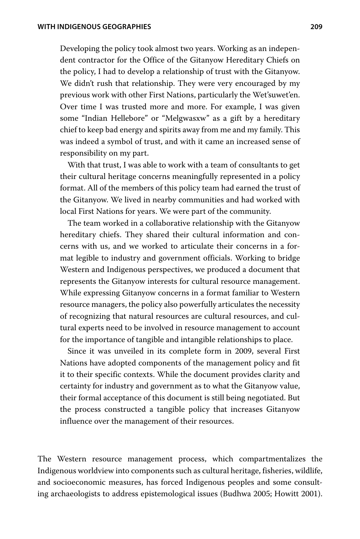Developing the policy took almost two years. Working as an independent contractor for the Office of the Gitanyow Hereditary Chiefs on the policy, I had to develop a relationship of trust with the Gitanyow. We didn't rush that relationship. They were very encouraged by my previous work with other First Nations, particularly the Wet'suwet'en. Over time I was trusted more and more. For example, I was given some "Indian Hellebore" or "Melgwasxw" as a gift by a hereditary chief to keep bad energy and spirits away from me and my family. This was indeed a symbol of trust, and with it came an increased sense of responsibility on my part.

With that trust, I was able to work with a team of consultants to get their cultural heritage concerns meaningfully represented in a policy format. All of the members of this policy team had earned the trust of the Gitanyow. We lived in nearby communities and had worked with local First Nations for years. We were part of the community.

The team worked in a collaborative relationship with the Gitanyow hereditary chiefs. They shared their cultural information and concerns with us, and we worked to articulate their concerns in a format legible to industry and government officials. Working to bridge Western and Indigenous perspectives, we produced a document that represents the Gitanyow interests for cultural resource management. While expressing Gitanyow concerns in a format familiar to Western resource managers, the policy also powerfully articulates the necessity of recognizing that natural resources are cultural resources, and cultural experts need to be involved in resource management to account for the importance of tangible and intangible relationships to place.

Since it was unveiled in its complete form in 2009, several First Nations have adopted components of the management policy and fit it to their specific contexts. While the document provides clarity and certainty for industry and government as to what the Gitanyow value, their formal acceptance of this document is still being negotiated. But the process constructed a tangible policy that increases Gitanyow influence over the management of their resources.

The Western resource management process, which compartmentalizes the Indigenous worldview into components such as cultural heritage, fisheries, wildlife, and socioeconomic measures, has forced Indigenous peoples and some consulting archaeologists to address epistemological issues (Budhwa 2005; Howitt 2001).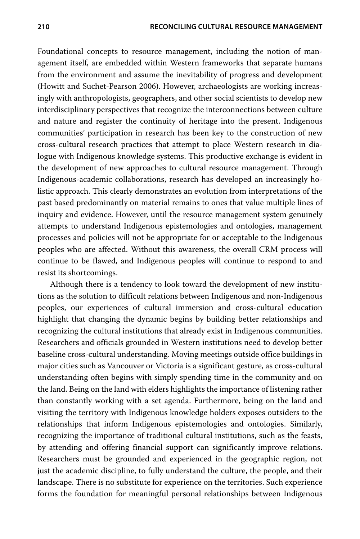Foundational concepts to resource management, including the notion of management itself, are embedded within Western frameworks that separate humans from the environment and assume the inevitability of progress and development (Howitt and Suchet-Pearson 2006). However, archaeologists are working increasingly with anthropologists, geographers, and other social scientists to develop new interdisciplinary perspectives that recognize the interconnections between culture and nature and register the continuity of heritage into the present. Indigenous communities' participation in research has been key to the construction of new cross-cultural research practices that attempt to place Western research in dialogue with Indigenous knowledge systems. This productive exchange is evident in the development of new approaches to cultural resource management. Through Indigenous-academic collaborations, research has developed an increasingly holistic approach. This clearly demonstrates an evolution from interpretations of the past based predominantly on material remains to ones that value multiple lines of inquiry and evidence. However, until the resource management system genuinely attempts to understand Indigenous epistemologies and ontologies, management processes and policies will not be appropriate for or acceptable to the Indigenous peoples who are affected. Without this awareness, the overall CRM process will continue to be flawed, and Indigenous peoples will continue to respond to and resist its shortcomings.

Although there is a tendency to look toward the development of new institutions as the solution to difficult relations between Indigenous and non-Indigenous peoples, our experiences of cultural immersion and cross-cultural education highlight that changing the dynamic begins by building better relationships and recognizing the cultural institutions that already exist in Indigenous communities. Researchers and officials grounded in Western institutions need to develop better baseline cross-cultural understanding. Moving meetings outside office buildings in major cities such as Vancouver or Victoria is a significant gesture, as cross-cultural understanding often begins with simply spending time in the community and on the land. Being on the land with elders highlights the importance of listening rather than constantly working with a set agenda. Furthermore, being on the land and visiting the territory with Indigenous knowledge holders exposes outsiders to the relationships that inform Indigenous epistemologies and ontologies. Similarly, recognizing the importance of traditional cultural institutions, such as the feasts, by attending and offering financial support can significantly improve relations. Researchers must be grounded and experienced in the geographic region, not just the academic discipline, to fully understand the culture, the people, and their landscape. There is no substitute for experience on the territories. Such experience forms the foundation for meaningful personal relationships between Indigenous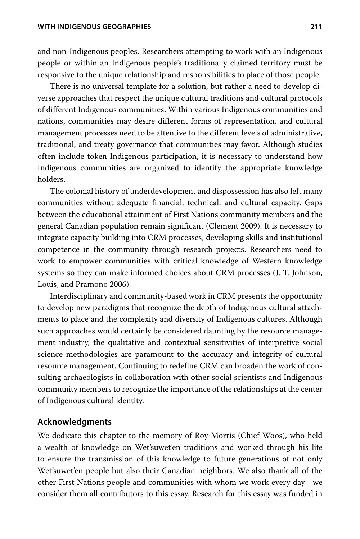#### **WITH INDIGENOUS GEOGRAPHIES 211**

and non-Indigenous peoples. Researchers attempting to work with an Indigenous people or within an Indigenous people's traditionally claimed territory must be responsive to the unique relationship and responsibilities to place of those people.

There is no universal template for a solution, but rather a need to develop diverse approaches that respect the unique cultural traditions and cultural protocols of different Indigenous communities. Within various Indigenous communities and nations, communities may desire different forms of representation, and cultural management processes need to be attentive to the different levels of administrative, traditional, and treaty governance that communities may favor. Although studies often include token Indigenous participation, it is necessary to understand how Indigenous communities are organized to identify the appropriate knowledge holders.

The colonial history of underdevelopment and dispossession has also left many communities without adequate financial, technical, and cultural capacity. Gaps between the educational attainment of First Nations community members and the general Canadian population remain significant (Clement 2009). It is necessary to integrate capacity building into CRM processes, developing skills and institutional competence in the community through research projects. Researchers need to work to empower communities with critical knowledge of Western knowledge systems so they can make informed choices about CRM processes (J. T. Johnson, Louis, and Pramono 2006).

Interdisciplinary and community-based work in CRM presents the opportunity to develop new paradigms that recognize the depth of Indigenous cultural attachments to place and the complexity and diversity of Indigenous cultures. Although such approaches would certainly be considered daunting by the resource management industry, the qualitative and contextual sensitivities of interpretive social science methodologies are paramount to the accuracy and integrity of cultural resource management. Continuing to redefine CRM can broaden the work of consulting archaeologists in collaboration with other social scientists and Indigenous community members to recognize the importance of the relationships at the center of Indigenous cultural identity.

#### **Acknowledgments**

We dedicate this chapter to the memory of Roy Morris (Chief Woos), who held a wealth of knowledge on Wet'suwet'en traditions and worked through his life to ensure the transmission of this knowledge to future generations of not only Wet'suwet'en people but also their Canadian neighbors. We also thank all of the other First Nations people and communities with whom we work every day—we consider them all contributors to this essay. Research for this essay was funded in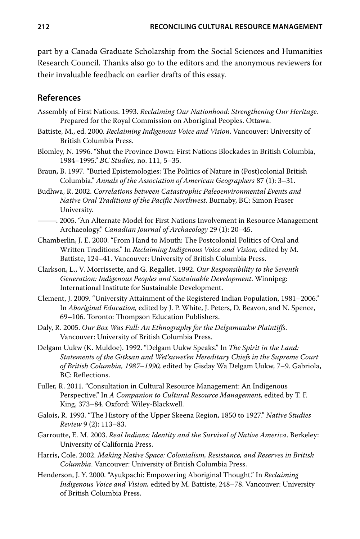part by a Canada Graduate Scholarship from the Social Sciences and Humanities Research Council. Thanks also go to the editors and the anonymous reviewers for their invaluable feedback on earlier drafts of this essay.

#### **References**

- Assembly of First Nations. 1993. *Reclaiming Our Nationhood: Strengthening Our Heritage.* Prepared for the Royal Commission on Aboriginal Peoples. Ottawa.
- Battiste, M., ed. 2000. *Reclaiming Indigenous Voice and Vision*. Vancouver: University of British Columbia Press.
- Blomley, N. 1996. "Shut the Province Down: First Nations Blockades in British Columbia, ow*BC Studies,* no. 111, 5–35.
- Braun, B. 1997. "Buried Epistemologies: The Politics of Nature in (Post)colonial British Columbia." Annals of the Association of American Geographers 87 (1): 3–31.
- Budhwa, R. 2002. *Correlations between Catastrophic Paleoenvironmental Events and Native Oral Traditions of the Pacific Northwest*. Burnaby, BC: Simon Fraser University.
- -. 2005. "An Alternate Model for First Nations Involvement in Resource Management Archaeology." Canadian Journal of Archaeology 29 (1): 20-45.
- Chamberlin, J. E. 2000. "From Hand to Mouth: The Postcolonial Politics of Oral and Written Traditions." In Reclaiming Indigenous Voice and Vision, edited by M. Battiste, 124–41. Vancouver: University of British Columbia Press.
- Clarkson, L., V. Morrissette, and G. Regallet. 1992. *Our Responsibility to the Seventh Generation: Indigenous Peoples and Sustainable Development*. Winnipeg: International Institute for Sustainable Development.
- Clement, J. 2009. "University Attainment of the Registered Indian Population, 1981–2006." In *Aboriginal Education,* edited by J. P. White, J. Peters, D. Beavon, and N. Spence, 69–106. Toronto: Thompson Education Publishers.
- Daly, R. 2005. *Our Box Was Full: An Ethnography for the Delgamuukw Plaintiffs*. Vancouver: University of British Columbia Press.
- Delgam Uukw (K. Muldoe). 1992. "Delgam Uukw Speaks." In *The Spirit in the Land: Statements of the Gitksan and Wet'suwet'en Hereditary Chiefs in the Supreme Court of British Columbia, 1987–1990,* edited by Gisday Wa Delgam Uukw, 7–9. Gabriola, BC: Reflections.
- Fuller, R. 2011. "Consultation in Cultural Resource Management: An Indigenous Perspective." In A Companion to Cultural Resource Management, edited by T. F. King, 373-84. Oxford: Wiley-Blackwell.
- Galois, R. 1993. "The History of the Upper Skeena Region, 1850 to 1927." Native Studies *Review* 9 (2): 113–83.
- Garroutte, E. M. 2003. *Real Indians: Identity and the Survival of Native America*. Berkeley: University of California Press.
- Harris, Cole. 2002. *Making Native Space: Colonialism, Resistance, and Reserves in British Columbia*. Vancouver: University of British Columbia Press.
- Henderson, J. Y. 2000. "Ayukpachi: Empowering Aboriginal Thought." In *Reclaiming Indigenous Voice and Vision,* edited by M. Battiste, 248–78. Vancouver: University of British Columbia Press.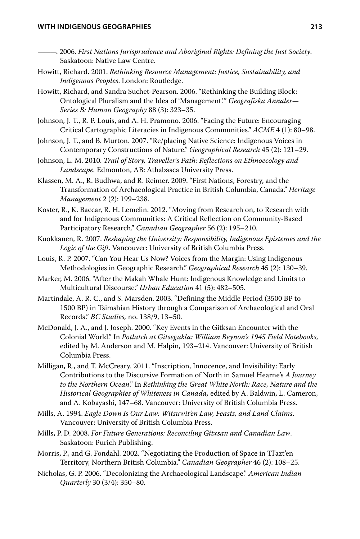#### **WITH INDIGENOUS GEOGRAPHIES 213**

- *First Nations Jurisprudence and Aboriginal Rights: Defining the Just Society*. Saskatoon: Native Law Centre.
- Howitt, Richard. 2001. *Rethinking Resource Management: Justice, Sustainability, and Indigenous Peoples*. London: Routledge.
- Howitt, Richard, and Sandra Suchet-Pearson. 2006. "Rethinking the Building Block: Ontological Pluralism and the Idea of 'Management." Geografiska Annaler-*Series B: Human Geography* 88 (3): 323–35.
- Johnson, J. T., R. P. Louis, and A. H. Pramono. 2006. "Facing the Future: Encouraging Critical Cartographic Literacies in Indigenous Communities." ACME 4 (1): 80–98.
- Johnson, J. T., and B. Murton. 2007. "Re/placing Native Science: Indigenous Voices in Contemporary Constructions of Nature." Geographical Research 45 (2): 121-29.
- Johnson, L. M. 2010. *Trail of Story, Traveller's Path: Reflections on Ethnoecology and Landscape.* Edmonton, AB: Athabasca University Press.
- Klassen, M. A., R. Budhwa, and R. Reimer. 2009. "First Nations, Forestry, and the Transformation of Archaeological Practice in British Columbia, Canada." *Heritage Management* 2 (2): 199–238.
- Koster, R., K. Baccar, R. H. Lemelin. 2012. "Moving from Research on, to Research with and for Indigenous Communities: A Critical Reflection on Community-Based Participatory Research." Canadian Geographer 56 (2): 195–210.
- Kuokkanen, R. 2007. *Reshaping the University: Responsibility, Indigenous Epistemes and the Logic of the Gift*. Vancouver: University of British Columbia Press.
- Louis, R. P. 2007. "Can You Hear Us Now? Voices from the Margin: Using Indigenous Methodologies in Geographic Research." Geographical Research 45 (2): 130-39.
- Marker, M. 2006. "After the Makah Whale Hunt: Indigenous Knowledge and Limits to Multicultural Discourse," *Urban Education* 41 (5): 482–505.
- Martindale, A. R. C., and S. Marsden. 2003. "Defining the Middle Period (3500 BP to 1500 BP) in Tsimshian History through a Comparison of Archaeological and Oral 3FDPSETw*BC Studies,* no. 138/9, 13–50.
- McDonald, J. A., and J. Joseph. 2000. "Key Events in the Gitksan Encounter with the Colonial World." In Potlatch at Gitsegukla: William Beynon's 1945 Field Notebooks, edited by M. Anderson and M. Halpin, 193–214. Vancouver: University of British Columbia Press.
- Milligan, R., and T. McCreary. 2011. "Inscription, Innocence, and Invisibility: Early Contributions to the Discursive Formation of North in Samuel Hearne's *A Journey*  to the Northern Ocean." In Rethinking the Great White North: Race, Nature and the *Historical Geographies of Whiteness in Canada,* edited by A. Baldwin, L. Cameron, and A. Kobayashi, 147–68. Vancouver: University of British Columbia Press.
- Mills, A. 1994. *Eagle Down Is Our Law: Witsuwit'en Law, Feasts, and Land Claims*. Vancouver: University of British Columbia Press.
- Mills, P. D. 2008. *For Future Generations: Reconciling Gitxsan and Canadian Law*. Saskatoon: Purich Publishing.
- Morris, P., and G. Fondahl. 2002. "Negotiating the Production of Space in Tl'azt'en Territory, Northern British Columbia." Canadian Geographer 46 (2): 108-25.
- Nicholas, G. P. 2006. "Decolonizing the Archaeological Landscape." American Indian *Quarterly* 30 (3/4): 350–80.